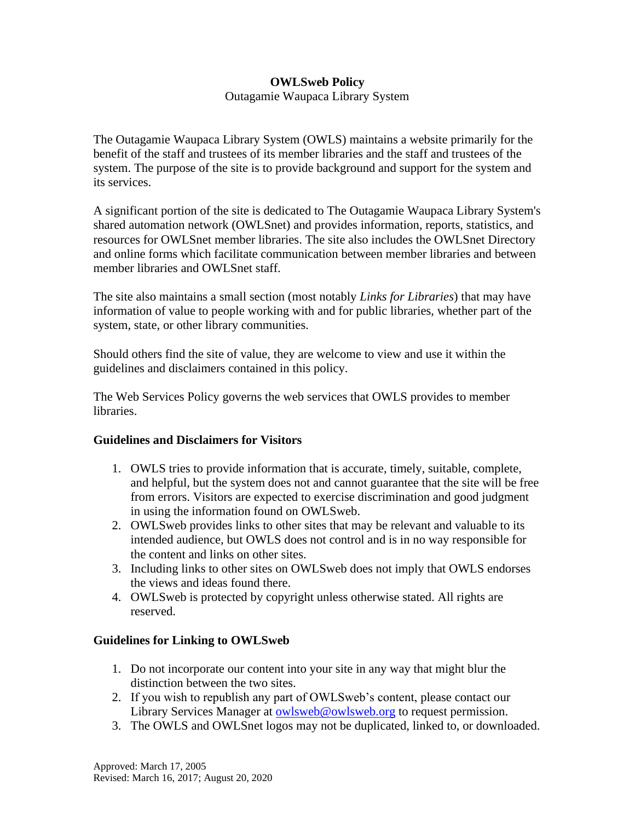## **OWLSweb Policy**

Outagamie Waupaca Library System

The Outagamie Waupaca Library System (OWLS) maintains a website primarily for the benefit of the staff and trustees of its member libraries and the staff and trustees of the system. The purpose of the site is to provide background and support for the system and its services.

A significant portion of the site is dedicated to The Outagamie Waupaca Library System's shared automation network (OWLSnet) and provides information, reports, statistics, and resources for OWLSnet member libraries. The site also includes the OWLSnet Directory and online forms which facilitate communication between member libraries and between member libraries and OWLSnet staff.

The site also maintains a small section (most notably *Links for Libraries*) that may have information of value to people working with and for public libraries, whether part of the system, state, or other library communities.

Should others find the site of value, they are welcome to view and use it within the guidelines and disclaimers contained in this policy.

The Web Services Policy governs the web services that OWLS provides to member libraries.

## **Guidelines and Disclaimers for Visitors**

- 1. OWLS tries to provide information that is accurate, timely, suitable, complete, and helpful, but the system does not and cannot guarantee that the site will be free from errors. Visitors are expected to exercise discrimination and good judgment in using the information found on OWLSweb.
- 2. OWLSweb provides links to other sites that may be relevant and valuable to its intended audience, but OWLS does not control and is in no way responsible for the content and links on other sites.
- 3. Including links to other sites on OWLSweb does not imply that OWLS endorses the views and ideas found there.
- 4. OWLSweb is protected by copyright unless otherwise stated. All rights are reserved.

## **Guidelines for Linking to OWLSweb**

- 1. Do not incorporate our content into your site in any way that might blur the distinction between the two sites.
- 2. If you wish to republish any part of OWLSweb's content, please contact our Library Services Manager at [owlsweb@owlsweb.org](mailto:owlsweb@owlsweb.org) to request permission.
- 3. The OWLS and OWLSnet logos may not be duplicated, linked to, or downloaded.